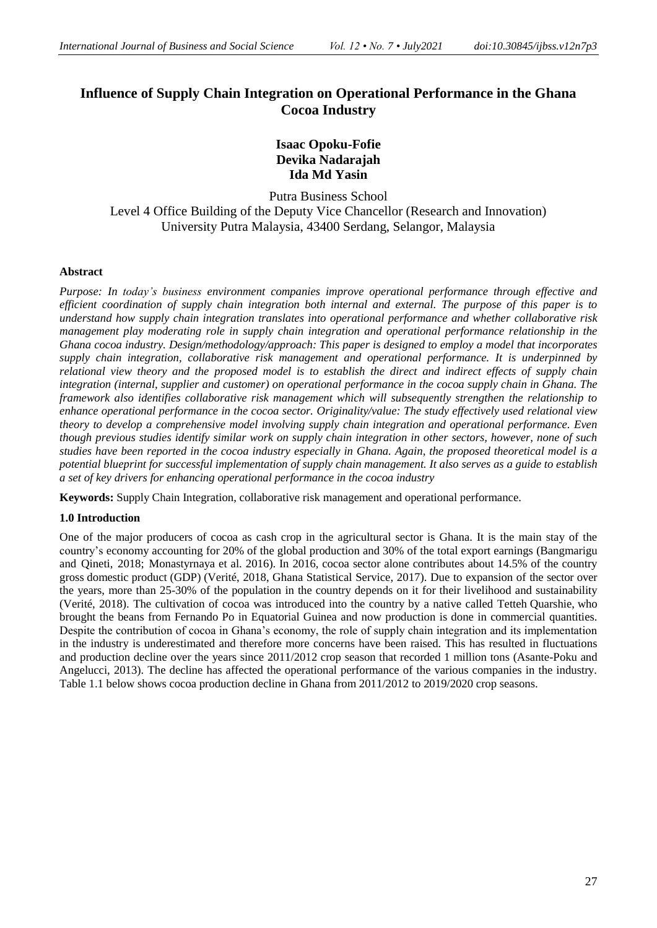# **Influence of Supply Chain Integration on Operational Performance in the Ghana Cocoa Industry**

## **Isaac Opoku-Fofie Devika Nadarajah Ida Md Yasin**

Putra Business School Level 4 Office Building of the Deputy Vice Chancellor (Research and Innovation) University Putra Malaysia, 43400 Serdang, Selangor, Malaysia

#### **Abstract**

*Purpose: In today's business environment companies improve operational performance through effective and efficient coordination of supply chain integration both internal and external. The purpose of this paper is to understand how supply chain integration translates into operational performance and whether collaborative risk management play moderating role in supply chain integration and operational performance relationship in the Ghana cocoa industry. Design/methodology/approach: This paper is designed to employ a model that incorporates supply chain integration, collaborative risk management and operational performance. It is underpinned by relational view theory and the proposed model is to establish the direct and indirect effects of supply chain integration (internal, supplier and customer) on operational performance in the cocoa supply chain in Ghana. The framework also identifies collaborative risk management which will subsequently strengthen the relationship to enhance operational performance in the cocoa sector. Originality/value: The study effectively used relational view theory to develop a comprehensive model involving supply chain integration and operational performance. Even though previous studies identify similar work on supply chain integration in other sectors, however, none of such studies have been reported in the cocoa industry especially in Ghana. Again, the proposed theoretical model is a potential blueprint for successful implementation of supply chain management. It also serves as a guide to establish a set of key drivers for enhancing operational performance in the cocoa industry*

**Keywords:** Supply Chain Integration, collaborative risk management and operational performance.

### **1.0 Introduction**

One of the major producers of cocoa as cash crop in the agricultural sector is Ghana. It is the main stay of the country's economy accounting for 20% of the global production and 30% of the total export earnings (Bangmarigu and Qineti, 2018; Monastyrnaya et al. 2016). In 2016, cocoa sector alone contributes about 14.5% of the country gross domestic product (GDP) (Verité, 2018, Ghana Statistical Service, 2017). Due to expansion of the sector over the years, more than 25-30% of the population in the country depends on it for their livelihood and sustainability (Verité, 2018). The cultivation of cocoa was introduced into the country by a native called Tetteh Quarshie, who brought the beans from Fernando Po in Equatorial Guinea and now production is done in commercial quantities. Despite the contribution of cocoa in Ghana's economy, the role of supply chain integration and its implementation in the industry is underestimated and therefore more concerns have been raised. This has resulted in fluctuations and production decline over the years since 2011/2012 crop season that recorded 1 million tons (Asante-Poku and Angelucci, 2013). The decline has affected the operational performance of the various companies in the industry. Table 1.1 below shows cocoa production decline in Ghana from 2011/2012 to 2019/2020 crop seasons.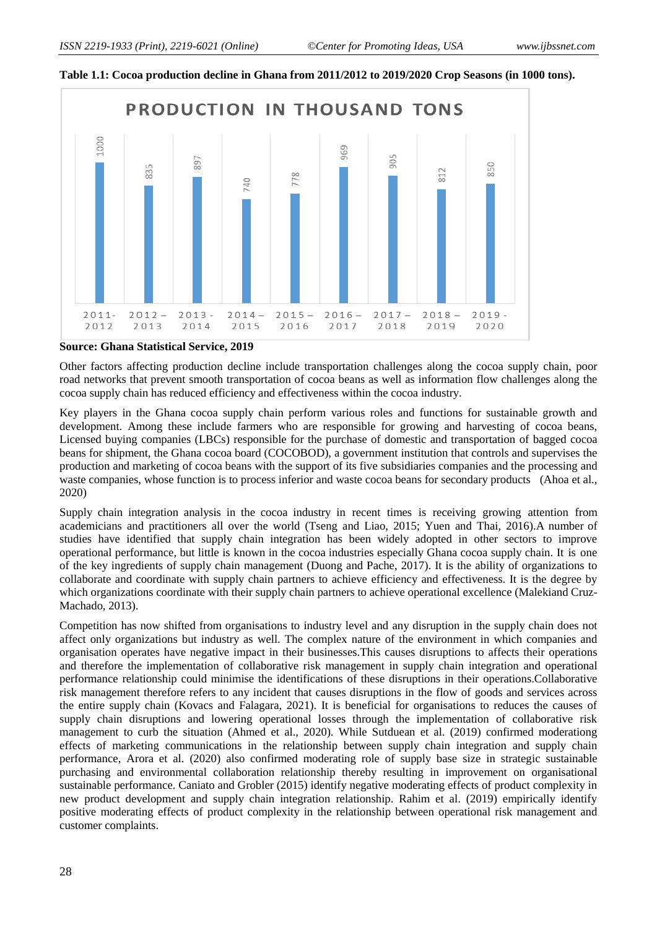



#### **Source: Ghana Statistical Service, 2019**

Other factors affecting production decline include transportation challenges along the cocoa supply chain, poor road networks that prevent smooth transportation of cocoa beans as well as information flow challenges along the cocoa supply chain has reduced efficiency and effectiveness within the cocoa industry.

Key players in the Ghana cocoa supply chain perform various roles and functions for sustainable growth and development. Among these include farmers who are responsible for growing and harvesting of cocoa beans, Licensed buying companies (LBCs) responsible for the purchase of domestic and transportation of bagged cocoa beans for shipment, the Ghana cocoa board (COCOBOD), a government institution that controls and supervises the production and marketing of cocoa beans with the support of its five subsidiaries companies and the processing and waste companies, whose function is to process inferior and waste cocoa beans for secondary products (Ahoa et al., 2020)

Supply chain integration analysis in the cocoa industry in recent times is receiving growing attention from academicians and practitioners all over the world (Tseng and Liao, 2015; Yuen and Thai, 2016).A number of studies have identified that supply chain integration has been widely adopted in other sectors to improve operational performance, but little is known in the cocoa industries especially Ghana cocoa supply chain. It is one of the key ingredients of supply chain management (Duong and Pache, 2017). It is the ability of organizations to collaborate and coordinate with supply chain partners to achieve efficiency and effectiveness. It is the degree by which organizations coordinate with their supply chain partners to achieve operational excellence (Malekiand Cruz-Machado, 2013).

Competition has now shifted from organisations to industry level and any disruption in the supply chain does not affect only organizations but industry as well. The complex nature of the environment in which companies and organisation operates have negative impact in their businesses.This causes disruptions to affects their operations and therefore the implementation of collaborative risk management in supply chain integration and operational performance relationship could minimise the identifications of these disruptions in their operations.Collaborative risk management therefore refers to any incident that causes disruptions in the flow of goods and services across the entire supply chain (Kovacs and Falagara, 2021). It is beneficial for organisations to reduces the causes of supply chain disruptions and lowering operational losses through the implementation of collaborative risk management to curb the situation (Ahmed et al., 2020). While Sutduean et al. (2019) confirmed moderationg effects of marketing communications in the relationship between supply chain integration and supply chain performance, Arora et al. (2020) also confirmed moderating role of supply base size in strategic sustainable purchasing and environmental collaboration relationship thereby resulting in improvement on organisational sustainable performance. Caniato and Grobler (2015) identify negative moderating effects of product complexity in new product development and supply chain integration relationship. Rahim et al. (2019) empirically identify positive moderating effects of product complexity in the relationship between operational risk management and customer complaints.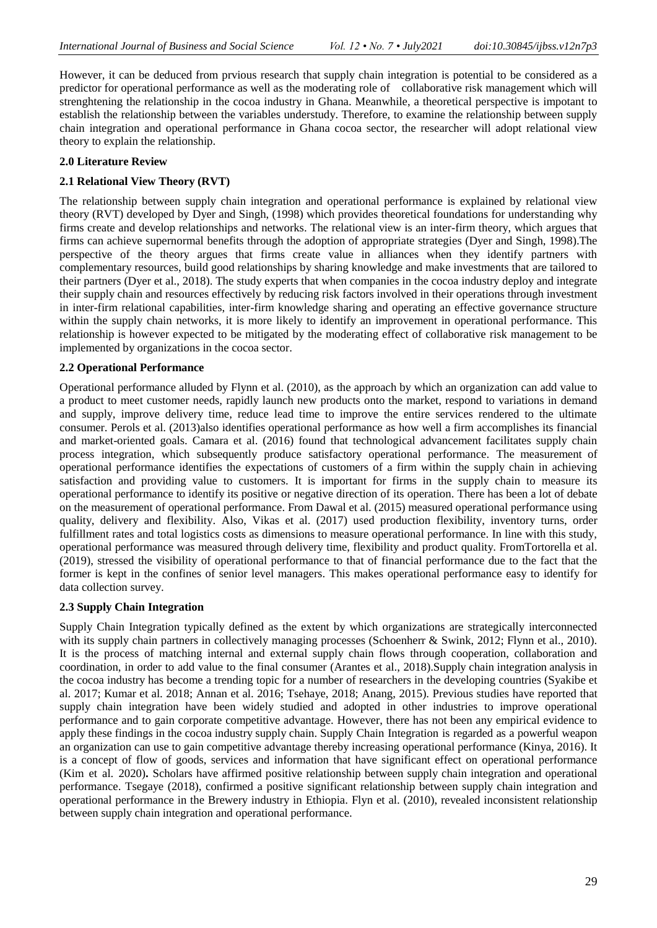However, it can be deduced from prvious research that supply chain integration is potential to be considered as a predictor for operational performance as well as the moderating role of collaborative risk management which will strenghtening the relationship in the cocoa industry in Ghana. Meanwhile, a theoretical perspective is impotant to establish the relationship between the variables understudy. Therefore, to examine the relationship between supply chain integration and operational performance in Ghana cocoa sector, the researcher will adopt relational view theory to explain the relationship.

### **2.0 Literature Review**

### **2.1 Relational View Theory (RVT)**

The relationship between supply chain integration and operational performance is explained by relational view theory (RVT) developed by Dyer and Singh, (1998) which provides theoretical foundations for understanding why firms create and develop relationships and networks. The relational view is an inter-firm theory, which argues that firms can achieve supernormal benefits through the adoption of appropriate strategies (Dyer and Singh, 1998).The perspective of the theory argues that firms create value in alliances when they identify partners with complementary resources, build good relationships by sharing knowledge and make investments that are tailored to their partners (Dyer et al., 2018). The study experts that when companies in the cocoa industry deploy and integrate their supply chain and resources effectively by reducing risk factors involved in their operations through investment in inter-firm relational capabilities, inter-firm knowledge sharing and operating an effective governance structure within the supply chain networks, it is more likely to identify an improvement in operational performance. This relationship is however expected to be mitigated by the moderating effect of collaborative risk management to be implemented by organizations in the cocoa sector.

### **2.2 Operational Performance**

Operational performance alluded by Flynn et al. (2010), as the approach by which an organization can add value to a product to meet customer needs, rapidly launch new products onto the market, respond to variations in demand and supply, improve delivery time, reduce lead time to improve the entire services rendered to the ultimate consumer. Perols et al. (2013)also identifies operational performance as how well a firm accomplishes its financial and market-oriented goals. Camara et al. (2016) found that technological advancement facilitates supply chain process integration, which subsequently produce satisfactory operational performance. The measurement of operational performance identifies the expectations of customers of a firm within the supply chain in achieving satisfaction and providing value to customers. It is important for firms in the supply chain to measure its operational performance to identify its positive or negative direction of its operation. There has been a lot of debate on the measurement of operational performance. From Dawal et al. (2015) measured operational performance using quality, delivery and flexibility. Also, Vikas et al. (2017) used production flexibility, inventory turns, order fulfillment rates and total logistics costs as dimensions to measure operational performance. In line with this study, operational performance was measured through delivery time, flexibility and product quality. FromTortorella et al. (2019), stressed the visibility of operational performance to that of financial performance due to the fact that the former is kept in the confines of senior level managers. This makes operational performance easy to identify for data collection survey.

### **2.3 Supply Chain Integration**

Supply Chain Integration typically defined as the extent by which organizations are strategically interconnected with its supply chain partners in collectively managing processes (Schoenherr & Swink, 2012; Flynn et al., 2010). It is the process of matching internal and external supply chain flows through cooperation, collaboration and coordination, in order to add value to the final consumer (Arantes et al., 2018).Supply chain integration analysis in the cocoa industry has become a trending topic for a number of researchers in the developing countries (Syakibe et al. 2017; Kumar et al. 2018; Annan et al. 2016; Tsehaye, 2018; Anang, 2015). Previous studies have reported that supply chain integration have been widely studied and adopted in other industries to improve operational performance and to gain corporate competitive advantage. However, there has not been any empirical evidence to apply these findings in the cocoa industry supply chain. Supply Chain Integration is regarded as a powerful weapon an organization can use to gain competitive advantage thereby increasing operational performance (Kinya, 2016). It is a concept of flow of goods, services and information that have significant effect on operational performance (Kim et al. 2020)**.** Scholars have affirmed positive relationship between supply chain integration and operational performance. Tsegaye (2018), confirmed a positive significant relationship between supply chain integration and operational performance in the Brewery industry in Ethiopia. Flyn et al. (2010), revealed inconsistent relationship between supply chain integration and operational performance.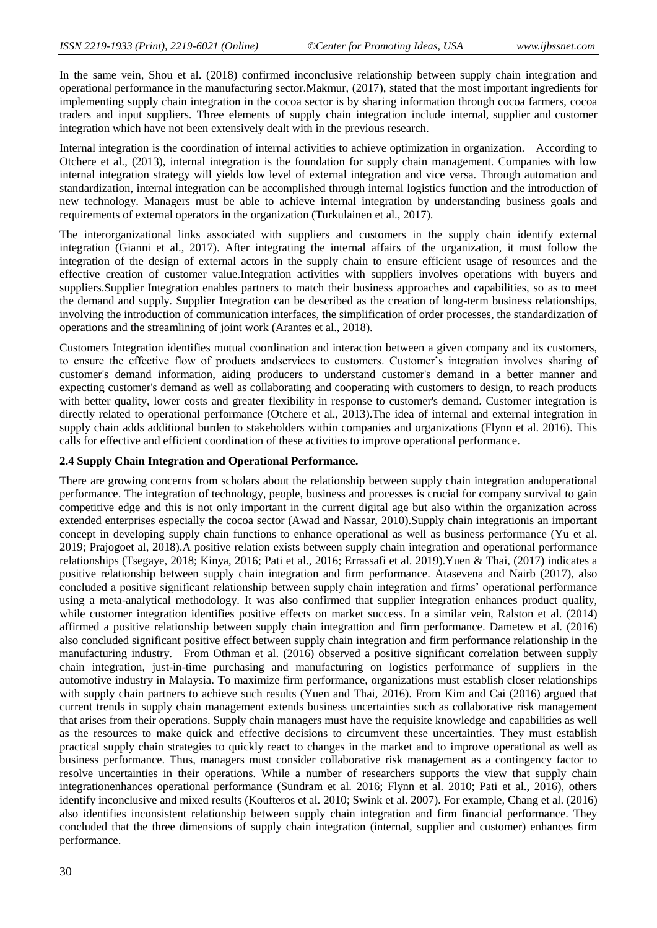In the same vein, Shou et al. (2018) confirmed inconclusive relationship between supply chain integration and operational performance in the manufacturing sector.Makmur, (2017), stated that the most important ingredients for implementing supply chain integration in the cocoa sector is by sharing information through cocoa farmers, cocoa traders and input suppliers. Three elements of supply chain integration include internal, supplier and customer integration which have not been extensively dealt with in the previous research.

Internal integration is the coordination of internal activities to achieve optimization in organization. According to Otchere et al., (2013), internal integration is the foundation for supply chain management. Companies with low internal integration strategy will yields low level of external integration and vice versa. Through automation and standardization, internal integration can be accomplished through internal logistics function and the introduction of new technology. Managers must be able to achieve internal integration by understanding business goals and requirements of external operators in the organization (Turkulainen et al., 2017).

The interorganizational links associated with suppliers and customers in the supply chain identify external integration (Gianni et al., 2017). After integrating the internal affairs of the organization, it must follow the integration of the design of external actors in the supply chain to ensure efficient usage of resources and the effective creation of customer value.Integration activities with suppliers involves operations with buyers and suppliers.Supplier Integration enables partners to match their business approaches and capabilities, so as to meet the demand and supply. Supplier Integration can be described as the creation of long-term business relationships, involving the introduction of communication interfaces, the simplification of order processes, the standardization of operations and the streamlining of joint work (Arantes et al., 2018).

Customers Integration identifies mutual coordination and interaction between a given company and its customers, to ensure the effective flow of products andservices to customers. Customer's integration involves sharing of customer's demand information, aiding producers to understand customer's demand in a better manner and expecting customer's demand as well as collaborating and cooperating with customers to design, to reach products with better quality, lower costs and greater flexibility in response to customer's demand. Customer integration is directly related to operational performance (Otchere et al., 2013).The idea of internal and external integration in supply chain adds additional burden to stakeholders within companies and organizations (Flynn et al. 2016). This calls for effective and efficient coordination of these activities to improve operational performance.

#### **2.4 Supply Chain Integration and Operational Performance.**

There are growing concerns from scholars about the relationship between supply chain integration andoperational performance. The integration of technology, people, business and processes is crucial for company survival to gain competitive edge and this is not only important in the current digital age but also within the organization across extended enterprises especially the cocoa sector (Awad and Nassar, 2010).Supply chain integrationis an important concept in developing supply chain functions to enhance operational as well as business performance (Yu et al. 2019; Prajogoet al, 2018).A positive relation exists between supply chain integration and operational performance relationships (Tsegaye, 2018; Kinya, 2016; Pati et al., 2016; Errassafi et al. 2019).Yuen & Thai, (2017) indicates a positive relationship between supply chain integration and firm performance. Atasevena and Nairb (2017), also concluded a positive significant relationship between supply chain integration and firms' operational performance using a meta-analytical methodology. It was also confirmed that supplier integration enhances product quality, while customer integration identifies positive effects on market success. In a similar vein, Ralston et al. (2014) affirmed a positive relationship between supply chain integrattion and firm performance. Dametew et al. (2016) also concluded significant positive effect between supply chain integration and firm performance relationship in the manufacturing industry. From Othman et al. (2016) observed a positive significant correlation between supply chain integration, just-in-time purchasing and manufacturing on logistics performance of suppliers in the automotive industry in Malaysia. To maximize firm performance, organizations must establish closer relationships with supply chain partners to achieve such results (Yuen and Thai, 2016). From Kim and Cai (2016) argued that current trends in supply chain management extends business uncertainties such as collaborative risk management that arises from their operations. Supply chain managers must have the requisite knowledge and capabilities as well as the resources to make quick and effective decisions to circumvent these uncertainties. They must establish practical supply chain strategies to quickly react to changes in the market and to improve operational as well as business performance. Thus, managers must consider collaborative risk management as a contingency factor to resolve uncertainties in their operations. While a number of researchers supports the view that supply chain integrationenhances operational performance (Sundram et al. 2016; Flynn et al. 2010; Pati et al., 2016), others identify inconclusive and mixed results (Koufteros et al. 2010; Swink et al. 2007). For example, Chang et al. (2016) also identifies inconsistent relationship between supply chain integration and firm financial performance. They concluded that the three dimensions of supply chain integration (internal, supplier and customer) enhances firm performance.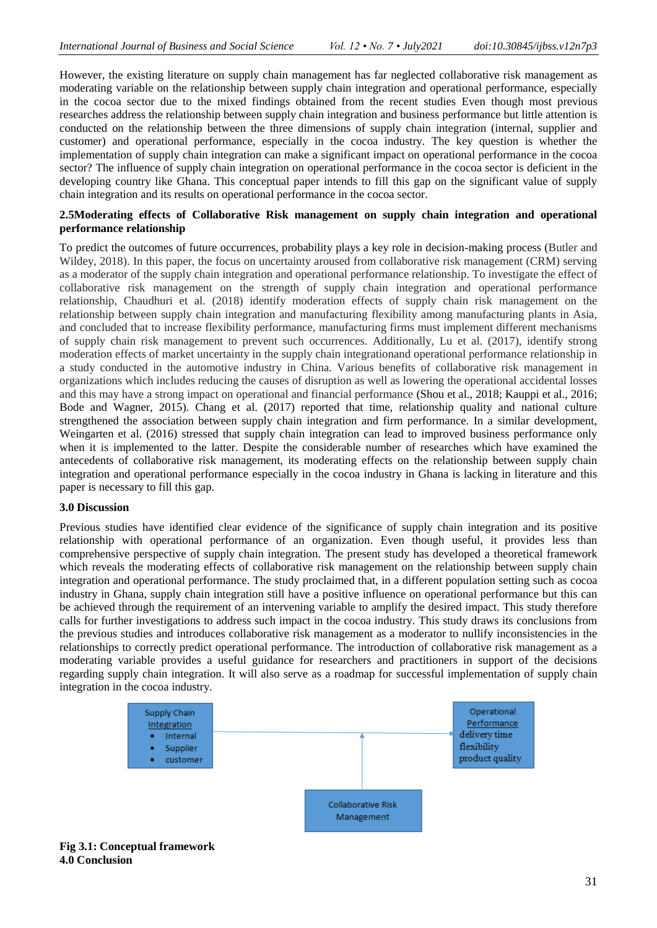However, the existing literature on supply chain management has far neglected collaborative risk management as moderating variable on the relationship between supply chain integration and operational performance, especially in the cocoa sector due to the mixed findings obtained from the recent studies Even though most previous researches address the relationship between supply chain integration and business performance but little attention is conducted on the relationship between the three dimensions of supply chain integration (internal, supplier and customer) and operational performance, especially in the cocoa industry. The key question is whether the implementation of supply chain integration can make a significant impact on operational performance in the cocoa sector? The influence of supply chain integration on operational performance in the cocoa sector is deficient in the developing country like Ghana. This conceptual paper intends to fill this gap on the significant value of supply chain integration and its results on operational performance in the cocoa sector.

### **2.5Moderating effects of Collaborative Risk management on supply chain integration and operational performance relationship**

To predict the outcomes of future occurrences, probability plays a key role in decision-making process (Butler and Wildey, 2018). In this paper, the focus on uncertainty aroused from collaborative risk management (CRM) serving as a moderator of the supply chain integration and operational performance relationship. To investigate the effect of collaborative risk management on the strength of supply chain integration and operational performance relationship, Chaudhuri et al. (2018) identify moderation effects of supply chain risk management on the relationship between supply chain integration and manufacturing flexibility among manufacturing plants in Asia, and concluded that to increase flexibility performance, manufacturing firms must implement different mechanisms of supply chain risk management to prevent such occurrences. Additionally, Lu et al. (2017), identify strong moderation effects of market uncertainty in the supply chain integrationand operational performance relationship in a study conducted in the automotive industry in China. Various benefits of collaborative risk management in organizations which includes reducing the causes of disruption as well as lowering the operational accidental losses and this may have a strong impact on operational and financial performance (Shou et al., 2018; Kauppi et al., 2016; Bode and Wagner, 2015). Chang et al. (2017) reported that time, relationship quality and national culture strengthened the association between supply chain integration and firm performance. In a similar development, Weingarten et al. (2016) stressed that supply chain integration can lead to improved business performance only when it is implemented to the latter. Despite the considerable number of researches which have examined the antecedents of collaborative risk management, its moderating effects on the relationship between supply chain integration and operational performance especially in the cocoa industry in Ghana is lacking in literature and this paper is necessary to fill this gap.

### **3.0 Discussion**

Previous studies have identified clear evidence of the significance of supply chain integration and its positive relationship with operational performance of an organization. Even though useful, it provides less than comprehensive perspective of supply chain integration. The present study has developed a theoretical framework which reveals the moderating effects of collaborative risk management on the relationship between supply chain integration and operational performance. The study proclaimed that, in a different population setting such as cocoa industry in Ghana, supply chain integration still have a positive influence on operational performance but this can be achieved through the requirement of an intervening variable to amplify the desired impact. This study therefore calls for further investigations to address such impact in the cocoa industry. This study draws its conclusions from the previous studies and introduces collaborative risk management as a moderator to nullify inconsistencies in the relationships to correctly predict operational performance. The introduction of collaborative risk management as a moderating variable provides a useful guidance for researchers and practitioners in support of the decisions regarding supply chain integration. It will also serve as a roadmap for successful implementation of supply chain integration in the cocoa industry.



**Fig 3.1: Conceptual framework 4.0 Conclusion**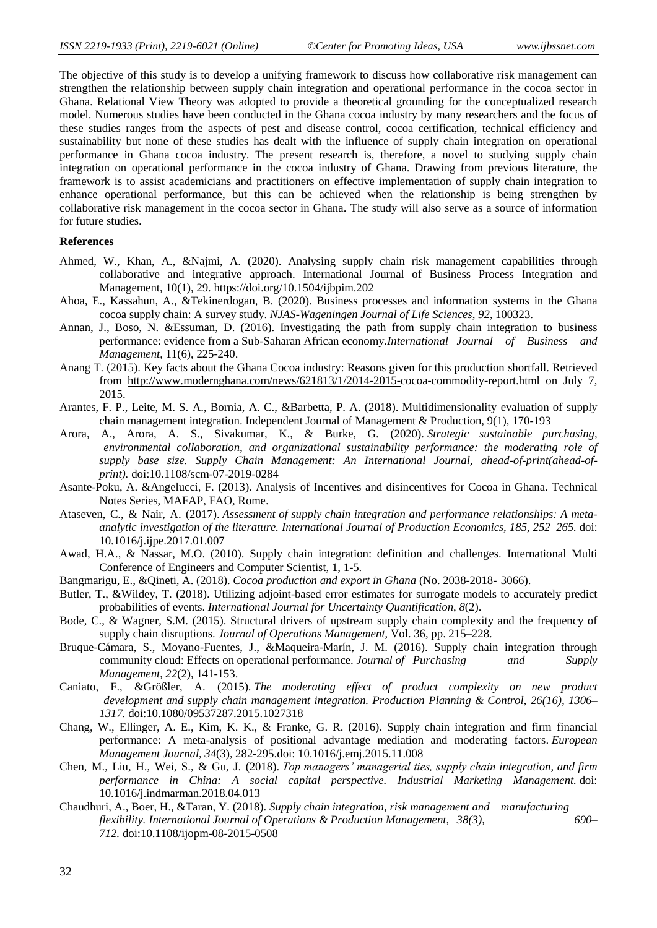The objective of this study is to develop a unifying framework to discuss how collaborative risk management can strengthen the relationship between supply chain integration and operational performance in the cocoa sector in Ghana. Relational View Theory was adopted to provide a theoretical grounding for the conceptualized research model. Numerous studies have been conducted in the Ghana cocoa industry by many researchers and the focus of these studies ranges from the aspects of pest and disease control, cocoa certification, technical efficiency and sustainability but none of these studies has dealt with the influence of supply chain integration on operational performance in Ghana cocoa industry. The present research is, therefore, a novel to studying supply chain integration on operational performance in the cocoa industry of Ghana. Drawing from previous literature, the framework is to assist academicians and practitioners on effective implementation of supply chain integration to enhance operational performance, but this can be achieved when the relationship is being strengthen by collaborative risk management in the cocoa sector in Ghana. The study will also serve as a source of information for future studies.

### **References**

- Ahmed, W., Khan, A., &Najmi, A. (2020). Analysing supply chain risk management capabilities through collaborative and integrative approach. International Journal of Business Process Integration and Management, 10(1), 29. https://doi.org/10.1504/ijbpim.202
- Ahoa, E., Kassahun, A., &Tekinerdogan, B. (2020). Business processes and information systems in the Ghana cocoa supply chain: A survey study. *NJAS-Wageningen Journal of Life Sciences*, *92*, 100323.
- Annan, J., Boso, N. &Essuman, D. (2016). Investigating the path from supply chain integration to business performance: evidence from a Sub-Saharan African economy.*International Journal of Business and Management*, 11(6), 225-240.
- Anang T. (2015). Key facts about the Ghana Cocoa industry: Reasons given for this production shortfall. Retrieved from [http://www.modernghana.com/news/621813/1/2014-2015-c](http://www.modernghana.com/news/621813/1/2014-2015-)ocoa-commodity-report.html on July 7, 2015.
- Arantes, F. P., Leite, M. S. A., Bornia, A. C., &Barbetta, P. A. (2018). Multidimensionality evaluation of supply chain management integration. Independent Journal of Management & Production, 9(1), 170-193
- Arora, A., Arora, A. S., Sivakumar, K., & Burke, G. (2020). *Strategic sustainable purchasing, environmental collaboration, and organizational sustainability performance: the moderating role of supply base size. Supply Chain Management: An International Journal, ahead-of-print(ahead-ofprint).* doi:10.1108/scm-07-2019-0284
- Asante-Poku, A. &Angelucci, F. (2013). Analysis of Incentives and disincentives for Cocoa in Ghana. Technical Notes Series, MAFAP, FAO, Rome.
- Ataseven, C., & Nair, A. (2017). *Assessment of supply chain integration and performance relationships: A metaanalytic investigation of the literature. International Journal of Production Economics, 185, 252–265.* doi: 10.1016/j.ijpe.2017.01.007
- Awad, H.A., & Nassar, M.O. (2010). Supply chain integration: definition and challenges. International Multi Conference of Engineers and Computer Scientist, 1, 1-5.
- Bangmarigu, E., &Qineti, A. (2018). *Cocoa production and export in Ghana* (No. 2038-2018- 3066).
- Butler, T., &Wildey, T. (2018). Utilizing adjoint-based error estimates for surrogate models to accurately predict probabilities of events. *International Journal for Uncertainty Quantification*, *8*(2).
- Bode, C., & Wagner, S.M. (2015). Structural drivers of upstream supply chain complexity and the frequency of supply chain disruptions. *Journal of Operations Management*, Vol. 36, pp. 215–228.
- Bruque-Cámara, S., Moyano-Fuentes, J., &Maqueira-Marín, J. M. (2016). Supply chain integration through community cloud: Effects on operational performance. *Journal of Purchasing and Supply Management*, *22*(2), 141-153.
- Caniato, F., &Größler, A. (2015). *The moderating effect of product complexity on new product development and supply chain management integration. Production Planning & Control, 26(16), 1306– 1317.* doi:10.1080/09537287.2015.1027318
- Chang, W., Ellinger, A. E., Kim, K. K., & Franke, G. R. (2016). Supply chain integration and firm financial performance: A meta-analysis of positional advantage mediation and moderating factors. *European Management Journal*, *34*(3), 282-295.doi: 10.1016/j.emj.2015.11.008
- Chen, M., Liu, H., Wei, S., & Gu, J. (2018). *Top managers' managerial ties, supply chain integration, and firm performance in China: A social capital perspective. Industrial Marketing Management.* doi: 10.1016/j.indmarman.2018.04.013
- Chaudhuri, A., Boer, H., &Taran, Y. (2018). *Supply chain integration, risk management and manufacturing flexibility. International Journal of Operations & Production Management, 38(3), 690– 712.* doi:10.1108/ijopm-08-2015-0508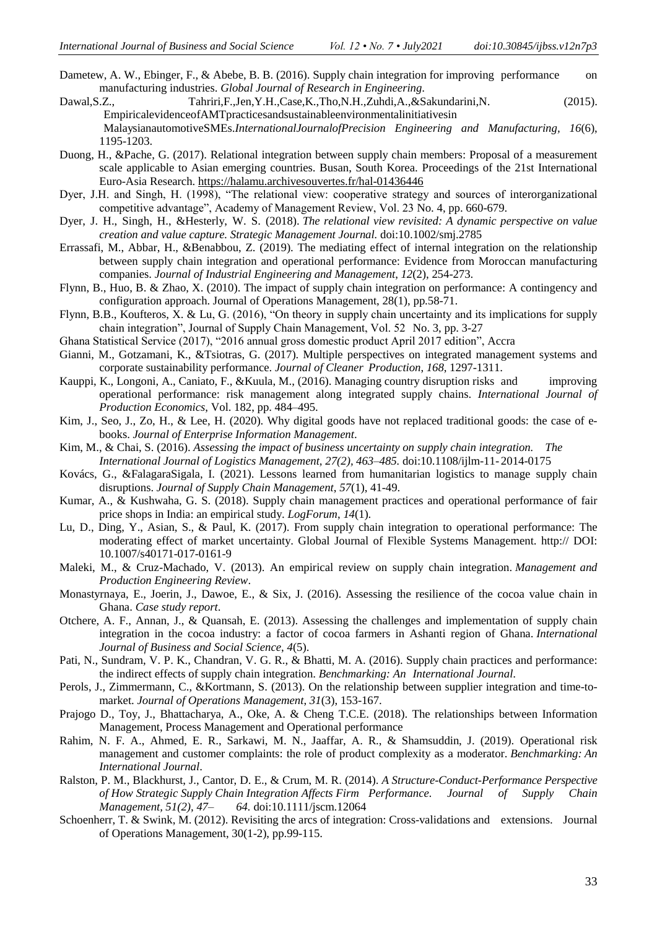- Dametew, A. W., Ebinger, F., & Abebe, B. B. (2016). Supply chain integration for improving performance on manufacturing industries. *Global Journal of Research in Engineering*.
- Dawal,S.Z., Tahriri,F.,Jen,Y.H.,Case,K.,Tho,N.H.,Zuhdi,A.,&Sakundarini,N. (2015). EmpiricalevidenceofAMTpracticesandsustainableenvironmentalinitiativesin MalaysianautomotiveSMEs.*InternationalJournalofPrecision Engineering and Manufacturing, 16*(6), 1195-1203.
- Duong, H., &Pache, G. (2017). Relational integration between supply chain members: Proposal of a measurement scale applicable to Asian emerging countries. Busan, South Korea. Proceedings of the 21st International Euro-Asia Research[. https://halamu.archivesouvertes.fr/hal-01436446](https://halamu.archivesouvertes.fr/hal-01436446)
- Dyer, J.H. and Singh, H. (1998), "The relational view: cooperative strategy and sources of interorganizational competitive advantage", Academy of Management Review, Vol. 23 No. 4, pp. 660-679.
- Dyer, J. H., Singh, H., &Hesterly, W. S. (2018). *The relational view revisited: A dynamic perspective on value creation and value capture. Strategic Management Journal.* doi:10.1002/smj.2785
- Errassafi, M., Abbar, H., &Benabbou, Z. (2019). The mediating effect of internal integration on the relationship between supply chain integration and operational performance: Evidence from Moroccan manufacturing companies. *Journal of Industrial Engineering and Management*, *12*(2), 254-273.
- Flynn, B., Huo, B. & Zhao, X. (2010). The impact of supply chain integration on performance: A contingency and configuration approach. Journal of Operations Management, 28(1), pp.58-71.
- Flynn, B.B., Koufteros, X. & Lu, G. (2016), "On theory in supply chain uncertainty and its implications for supply chain integration", Journal of Supply Chain Management, Vol. 52 No. 3, pp. 3-27
- Ghana Statistical Service (2017), "2016 annual gross domestic product April 2017 edition", Accra
- Gianni, M., Gotzamani, K., &Tsiotras, G. (2017). Multiple perspectives on integrated management systems and corporate sustainability performance. *Journal of Cleaner Production*, *168*, 1297-1311.
- Kauppi, K., Longoni, A., Caniato, F., &Kuula, M., (2016). Managing country disruption risks and improving operational performance: risk management along integrated supply chains. *International Journal of Production Economics*, Vol. 182, pp. 484–495.
- Kim, J., Seo, J., Zo, H., & Lee, H. (2020). Why digital goods have not replaced traditional goods: the case of ebooks. *Journal of Enterprise Information Management*.
- Kim, M., & Chai, S. (2016). *Assessing the impact of business uncertainty on supply chain integration. The International Journal of Logistics Management, 27(2), 463–485.* doi:10.1108/ijlm-11- 2014-0175
- Kovács, G., &FalagaraSigala, I. (2021). Lessons learned from humanitarian logistics to manage supply chain disruptions. *Journal of Supply Chain Management*, *57*(1), 41-49.
- Kumar, A., & Kushwaha, G. S. (2018). Supply chain management practices and operational performance of fair price shops in India: an empirical study. *LogForum*, *14*(1).
- Lu, D., Ding, Y., Asian, S., & Paul, K. (2017). From supply chain integration to operational performance: The moderating effect of market uncertainty. Global Journal of Flexible Systems Management. http:// DOI: 10.1007/s40171-017-0161-9
- Maleki, M., & Cruz-Machado, V. (2013). An empirical review on supply chain integration. *Management and Production Engineering Review*.
- Monastyrnaya, E., Joerin, J., Dawoe, E., & Six, J. (2016). Assessing the resilience of the cocoa value chain in Ghana. *Case study report*.
- Otchere, A. F., Annan, J., & Quansah, E. (2013). Assessing the challenges and implementation of supply chain integration in the cocoa industry: a factor of cocoa farmers in Ashanti region of Ghana. *International Journal of Business and Social Science*, *4*(5).
- Pati, N., Sundram, V. P. K., Chandran, V. G. R., & Bhatti, M. A. (2016). Supply chain practices and performance: the indirect effects of supply chain integration. *Benchmarking: An International Journal*.
- Perols, J., Zimmermann, C., &Kortmann, S. (2013). On the relationship between supplier integration and time-tomarket. *Journal of Operations Management*, *31*(3), 153-167.
- Prajogo D., Toy, J., Bhattacharya, A., Oke, A. & Cheng T.C.E. (2018). The relationships between Information Management, Process Management and Operational performance
- Rahim, N. F. A., Ahmed, E. R., Sarkawi, M. N., Jaaffar, A. R., & Shamsuddin, J. (2019). Operational risk management and customer complaints: the role of product complexity as a moderator. *Benchmarking: An International Journal*.
- Ralston, P. M., Blackhurst, J., Cantor, D. E., & Crum, M. R. (2014). *A Structure-Conduct-Performance Perspective of How Strategic Supply Chain Integration Affects Firm Performance. Journal of Supply Chain Management, 51(2), 47– 64.* doi:10.1111/jscm.12064
- Schoenherr, T. & Swink, M. (2012). Revisiting the arcs of integration: Cross-validations and extensions. Journal of Operations Management, 30(1-2), pp.99-115.